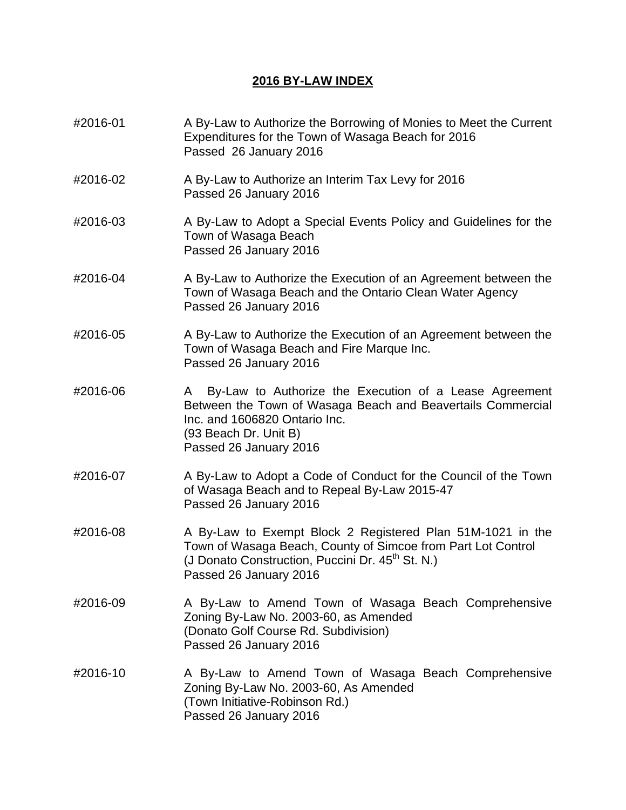## **2016 BY-LAW INDEX**

#2016-01 A By-Law to Authorize the Borrowing of Monies to Meet the Current Expenditures for the Town of Wasaga Beach for 2016 Passed 26 January 2016 #2016-02 A By-Law to Authorize an Interim Tax Levy for 2016 Passed 26 January 2016 #2016-03 A By-Law to Adopt a Special Events Policy and Guidelines for the Town of Wasaga Beach Passed 26 January 2016 #2016-04 A By-Law to Authorize the Execution of an Agreement between the Town of Wasaga Beach and the Ontario Clean Water Agency Passed 26 January 2016 #2016-05 A By-Law to Authorize the Execution of an Agreement between the Town of Wasaga Beach and Fire Marque Inc. Passed 26 January 2016 #2016-06 A By-Law to Authorize the Execution of a Lease Agreement Between the Town of Wasaga Beach and Beavertails Commercial Inc. and 1606820 Ontario Inc. (93 Beach Dr. Unit B) Passed 26 January 2016 #2016-07 A By-Law to Adopt a Code of Conduct for the Council of the Town of Wasaga Beach and to Repeal By-Law 2015-47 Passed 26 January 2016 #2016-08 A By-Law to Exempt Block 2 Registered Plan 51M-1021 in the Town of Wasaga Beach, County of Simcoe from Part Lot Control (J Donato Construction, Puccini Dr.  $45<sup>th</sup>$  St. N.) Passed 26 January 2016 #2016-09 A By-Law to Amend Town of Wasaga Beach Comprehensive Zoning By-Law No. 2003-60, as Amended (Donato Golf Course Rd. Subdivision) Passed 26 January 2016 #2016-10 A By-Law to Amend Town of Wasaga Beach Comprehensive Zoning By-Law No. 2003-60, As Amended (Town Initiative-Robinson Rd.) Passed 26 January 2016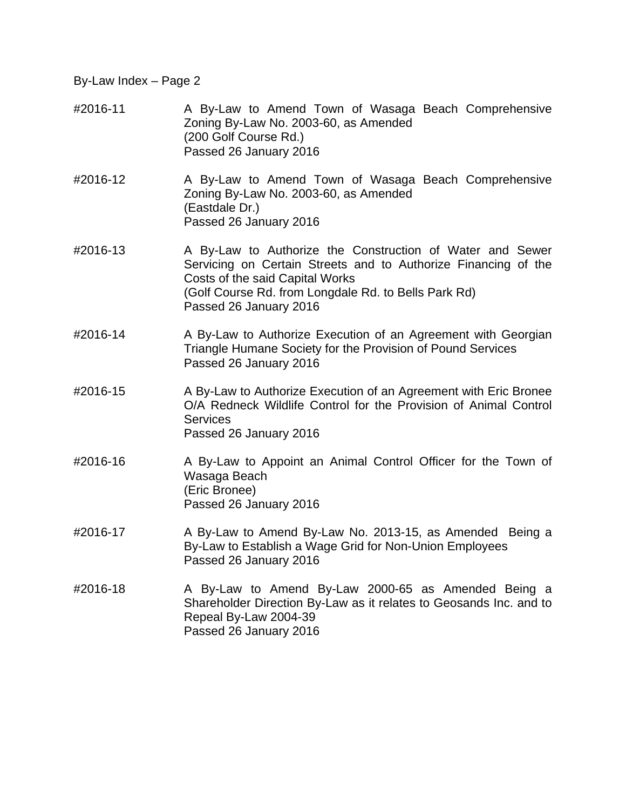- #2016-11 A By-Law to Amend Town of Wasaga Beach Comprehensive Zoning By-Law No. 2003-60, as Amended (200 Golf Course Rd.) Passed 26 January 2016
- #2016-12 A By-Law to Amend Town of Wasaga Beach Comprehensive Zoning By-Law No. 2003-60, as Amended (Eastdale Dr.) Passed 26 January 2016
- #2016-13 A By-Law to Authorize the Construction of Water and Sewer Servicing on Certain Streets and to Authorize Financing of the Costs of the said Capital Works (Golf Course Rd. from Longdale Rd. to Bells Park Rd) Passed 26 January 2016
- #2016-14 A By-Law to Authorize Execution of an Agreement with Georgian Triangle Humane Society for the Provision of Pound Services Passed 26 January 2016
- #2016-15 A By-Law to Authorize Execution of an Agreement with Eric Bronee O/A Redneck Wildlife Control for the Provision of Animal Control Services Passed 26 January 2016
- #2016-16 A By-Law to Appoint an Animal Control Officer for the Town of Wasaga Beach (Eric Bronee) Passed 26 January 2016
- #2016-17 A By-Law to Amend By-Law No. 2013-15, as Amended Being a By-Law to Establish a Wage Grid for Non-Union Employees Passed 26 January 2016
- #2016-18 A By-Law to Amend By-Law 2000-65 as Amended Being a Shareholder Direction By-Law as it relates to Geosands Inc. and to Repeal By-Law 2004-39 Passed 26 January 2016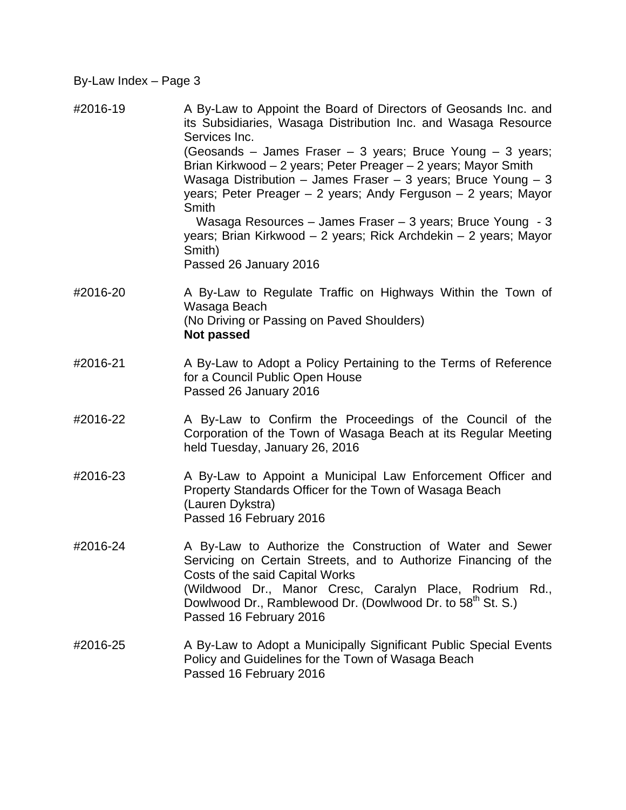- #2016-19 A By-Law to Appoint the Board of Directors of Geosands Inc. and its Subsidiaries, Wasaga Distribution Inc. and Wasaga Resource Services Inc. (Geosands – James Fraser – 3 years; Bruce Young – 3 years; Brian Kirkwood – 2 years; Peter Preager – 2 years; Mayor Smith Wasaga Distribution – James Fraser – 3 years; Bruce Young – 3 years; Peter Preager – 2 years; Andy Ferguson – 2 years; Mayor Smith Wasaga Resources – James Fraser – 3 years; Bruce Young - 3 years; Brian Kirkwood – 2 years; Rick Archdekin – 2 years; Mayor Smith) Passed 26 January 2016
- #2016-20 A By-Law to Regulate Traffic on Highways Within the Town of Wasaga Beach (No Driving or Passing on Paved Shoulders) **Not passed**
- #2016-21 A By-Law to Adopt a Policy Pertaining to the Terms of Reference for a Council Public Open House Passed 26 January 2016
- #2016-22 A By-Law to Confirm the Proceedings of the Council of the Corporation of the Town of Wasaga Beach at its Regular Meeting held Tuesday, January 26, 2016
- #2016-23 A By-Law to Appoint a Municipal Law Enforcement Officer and Property Standards Officer for the Town of Wasaga Beach (Lauren Dykstra) Passed 16 February 2016
- #2016-24 A By-Law to Authorize the Construction of Water and Sewer Servicing on Certain Streets, and to Authorize Financing of the Costs of the said Capital Works (Wildwood Dr., Manor Cresc, Caralyn Place, Rodrium Rd., Dowlwood Dr., Ramblewood Dr. (Dowlwood Dr. to 58<sup>th</sup> St. S.) Passed 16 February 2016
- #2016-25 A By-Law to Adopt a Municipally Significant Public Special Events Policy and Guidelines for the Town of Wasaga Beach Passed 16 February 2016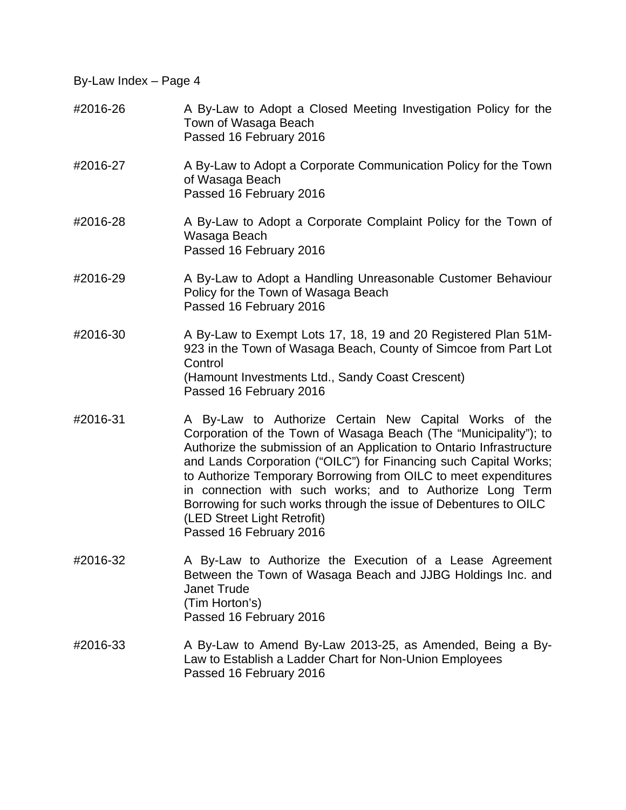- #2016-26 A By-Law to Adopt a Closed Meeting Investigation Policy for the Town of Wasaga Beach Passed 16 February 2016
- #2016-27 A By-Law to Adopt a Corporate Communication Policy for the Town of Wasaga Beach Passed 16 February 2016
- #2016-28 A By-Law to Adopt a Corporate Complaint Policy for the Town of Wasaga Beach Passed 16 February 2016
- #2016-29 A By-Law to Adopt a Handling Unreasonable Customer Behaviour Policy for the Town of Wasaga Beach Passed 16 February 2016
- #2016-30 A By-Law to Exempt Lots 17, 18, 19 and 20 Registered Plan 51M-923 in the Town of Wasaga Beach, County of Simcoe from Part Lot **Control**  (Hamount Investments Ltd., Sandy Coast Crescent) Passed 16 February 2016
- #2016-31 A By-Law to Authorize Certain New Capital Works of the Corporation of the Town of Wasaga Beach (The "Municipality"); to Authorize the submission of an Application to Ontario Infrastructure and Lands Corporation ("OILC") for Financing such Capital Works; to Authorize Temporary Borrowing from OILC to meet expenditures in connection with such works; and to Authorize Long Term Borrowing for such works through the issue of Debentures to OILC (LED Street Light Retrofit) Passed 16 February 2016
- #2016-32 A By-Law to Authorize the Execution of a Lease Agreement Between the Town of Wasaga Beach and JJBG Holdings Inc. and Janet Trude (Tim Horton's) Passed 16 February 2016
- $\#2016-33$  A By-Law to Amend By-Law 2013-25, as Amended, Being a By-Law to Establish a Ladder Chart for Non-Union Employees Passed 16 February 2016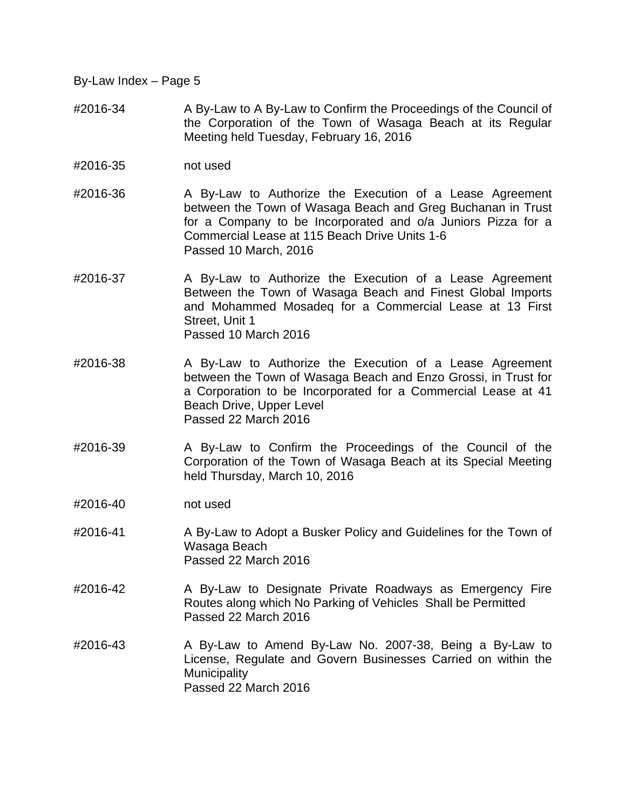- #2016-34 A By-Law to A By-Law to Confirm the Proceedings of the Council of the Corporation of the Town of Wasaga Beach at its Regular Meeting held Tuesday, February 16, 2016
- #2016-35 not used
- #2016-36 A By-Law to Authorize the Execution of a Lease Agreement between the Town of Wasaga Beach and Greg Buchanan in Trust for a Company to be Incorporated and o/a Juniors Pizza for a Commercial Lease at 115 Beach Drive Units 1-6 Passed 10 March, 2016
- #2016-37 A By-Law to Authorize the Execution of a Lease Agreement Between the Town of Wasaga Beach and Finest Global Imports and Mohammed Mosadeq for a Commercial Lease at 13 First Street, Unit 1 Passed 10 March 2016
- #2016-38 A By-Law to Authorize the Execution of a Lease Agreement between the Town of Wasaga Beach and Enzo Grossi, in Trust for a Corporation to be Incorporated for a Commercial Lease at 41 Beach Drive, Upper Level Passed 22 March 2016
- #2016-39 A By-Law to Confirm the Proceedings of the Council of the Corporation of the Town of Wasaga Beach at its Special Meeting held Thursday, March 10, 2016
- #2016-40 not used
- #2016-41 A By-Law to Adopt a Busker Policy and Guidelines for the Town of Wasaga Beach Passed 22 March 2016
- #2016-42 A By-Law to Designate Private Roadways as Emergency Fire Routes along which No Parking of Vehicles Shall be Permitted Passed 22 March 2016
- #2016-43 A By-Law to Amend By-Law No. 2007-38, Being a By-Law to License, Regulate and Govern Businesses Carried on within the **Municipality** Passed 22 March 2016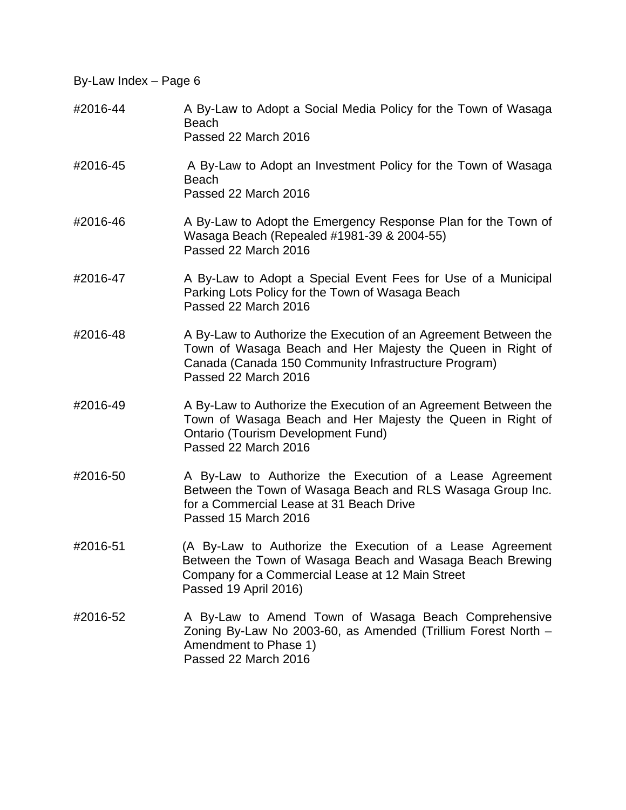#2016-44 A By-Law to Adopt a Social Media Policy for the Town of Wasaga Beach Passed 22 March 2016 #2016-45 A By-Law to Adopt an Investment Policy for the Town of Wasaga Beach Passed 22 March 2016 #2016-46 A By-Law to Adopt the Emergency Response Plan for the Town of Wasaga Beach (Repealed #1981-39 & 2004-55) Passed 22 March 2016 #2016-47 A By-Law to Adopt a Special Event Fees for Use of a Municipal Parking Lots Policy for the Town of Wasaga Beach Passed 22 March 2016 #2016-48 A By-Law to Authorize the Execution of an Agreement Between the Town of Wasaga Beach and Her Majesty the Queen in Right of Canada (Canada 150 Community Infrastructure Program) Passed 22 March 2016 #2016-49 A By-Law to Authorize the Execution of an Agreement Between the Town of Wasaga Beach and Her Majesty the Queen in Right of Ontario (Tourism Development Fund) Passed 22 March 2016 #2016-50 A By-Law to Authorize the Execution of a Lease Agreement Between the Town of Wasaga Beach and RLS Wasaga Group Inc. for a Commercial Lease at 31 Beach Drive Passed 15 March 2016 #2016-51 (A By-Law to Authorize the Execution of a Lease Agreement Between the Town of Wasaga Beach and Wasaga Beach Brewing Company for a Commercial Lease at 12 Main Street Passed 19 April 2016) #2016-52 A By-Law to Amend Town of Wasaga Beach Comprehensive Zoning By-Law No 2003-60, as Amended (Trillium Forest North – Amendment to Phase 1) Passed 22 March 2016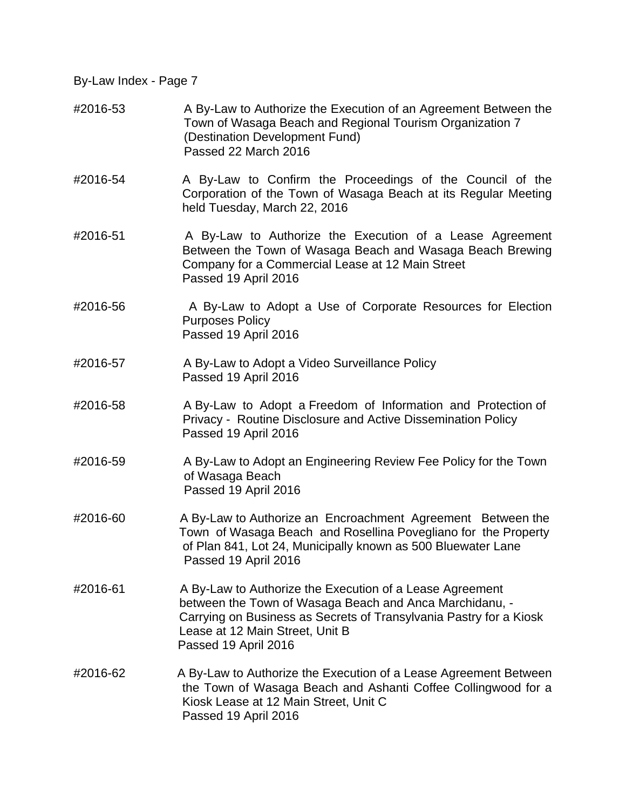- #2016-53 A By-Law to Authorize the Execution of an Agreement Between the Town of Wasaga Beach and Regional Tourism Organization 7 (Destination Development Fund) Passed 22 March 2016
- #2016-54 A By-Law to Confirm the Proceedings of the Council of the Corporation of the Town of Wasaga Beach at its Regular Meeting held Tuesday, March 22, 2016
- #2016-51 A By-Law to Authorize the Execution of a Lease Agreement Between the Town of Wasaga Beach and Wasaga Beach Brewing Company for a Commercial Lease at 12 Main Street Passed 19 April 2016
- #2016-56 A By-Law to Adopt a Use of Corporate Resources for Election Purposes Policy Passed 19 April 2016
- #2016-57 A By-Law to Adopt a Video Surveillance Policy Passed 19 April 2016
- #2016-58 A By-Law to Adopt a Freedom of Information and Protection of Privacy - Routine Disclosure and Active Dissemination Policy Passed 19 April 2016
- #2016-59 A By-Law to Adopt an Engineering Review Fee Policy for the Town of Wasaga Beach Passed 19 April 2016
- #2016-60 A By-Law to Authorize an Encroachment Agreement Between the Town of Wasaga Beach and Rosellina Povegliano for the Property of Plan 841, Lot 24, Municipally known as 500 Bluewater Lane Passed 19 April 2016
- #2016-61 A By-Law to Authorize the Execution of a Lease Agreement between the Town of Wasaga Beach and Anca Marchidanu, - Carrying on Business as Secrets of Transylvania Pastry for a Kiosk Lease at 12 Main Street, Unit B Passed 19 April 2016
- #2016-62 A By-Law to Authorize the Execution of a Lease Agreement Between the Town of Wasaga Beach and Ashanti Coffee Collingwood for a Kiosk Lease at 12 Main Street, Unit C Passed 19 April 2016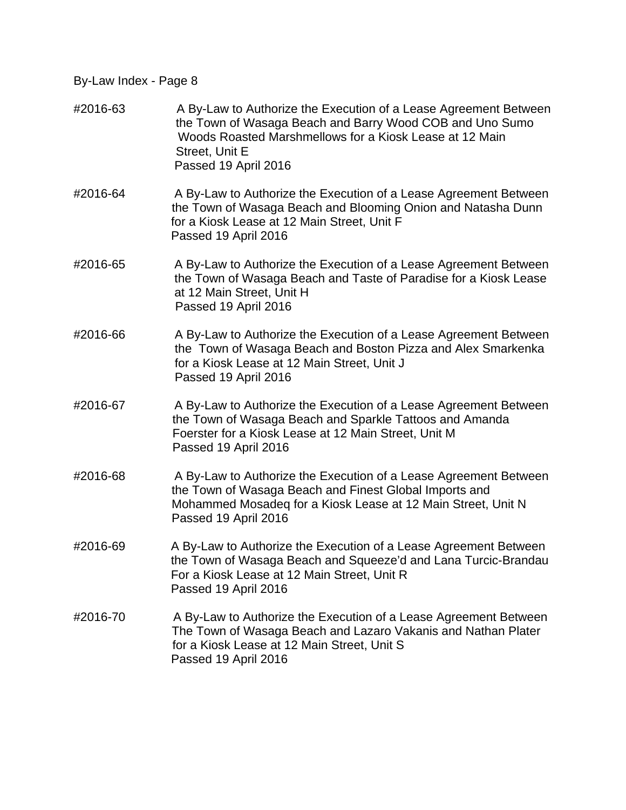- #2016-63 A By-Law to Authorize the Execution of a Lease Agreement Between the Town of Wasaga Beach and Barry Wood COB and Uno Sumo Woods Roasted Marshmellows for a Kiosk Lease at 12 Main Street, Unit E Passed 19 April 2016
- #2016-64 A By-Law to Authorize the Execution of a Lease Agreement Between the Town of Wasaga Beach and Blooming Onion and Natasha Dunn for a Kiosk Lease at 12 Main Street, Unit F Passed 19 April 2016
- #2016-65 A By-Law to Authorize the Execution of a Lease Agreement Between the Town of Wasaga Beach and Taste of Paradise for a Kiosk Lease at 12 Main Street, Unit H Passed 19 April 2016
- #2016-66 A By-Law to Authorize the Execution of a Lease Agreement Between the Town of Wasaga Beach and Boston Pizza and Alex Smarkenka for a Kiosk Lease at 12 Main Street, Unit J Passed 19 April 2016
- #2016-67 A By-Law to Authorize the Execution of a Lease Agreement Between the Town of Wasaga Beach and Sparkle Tattoos and Amanda Foerster for a Kiosk Lease at 12 Main Street, Unit M Passed 19 April 2016
- #2016-68 A By-Law to Authorize the Execution of a Lease Agreement Between the Town of Wasaga Beach and Finest Global Imports and Mohammed Mosadeq for a Kiosk Lease at 12 Main Street, Unit N Passed 19 April 2016
- #2016-69 A By-Law to Authorize the Execution of a Lease Agreement Between the Town of Wasaga Beach and Squeeze'd and Lana Turcic-Brandau For a Kiosk Lease at 12 Main Street, Unit R Passed 19 April 2016
- #2016-70 A By-Law to Authorize the Execution of a Lease Agreement Between The Town of Wasaga Beach and Lazaro Vakanis and Nathan Plater for a Kiosk Lease at 12 Main Street, Unit S Passed 19 April 2016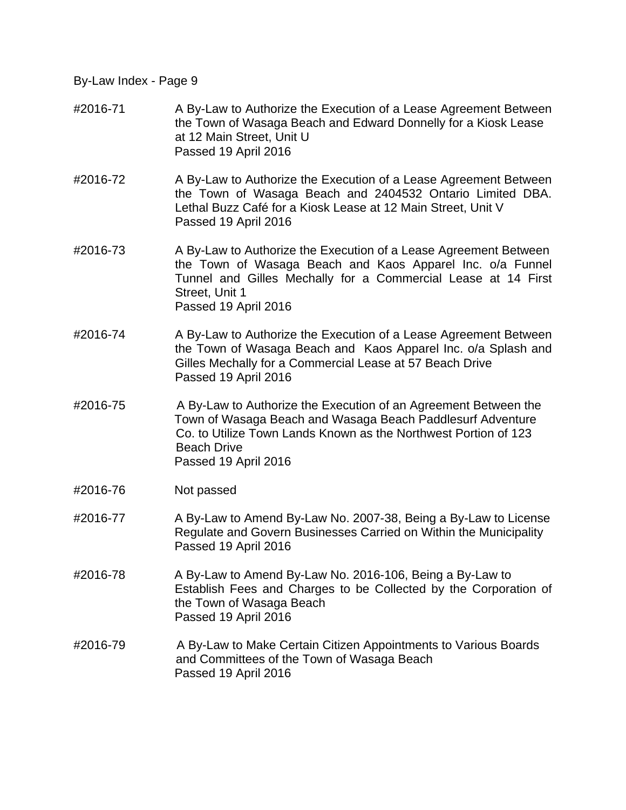- #2016-71 A By-Law to Authorize the Execution of a Lease Agreement Between the Town of Wasaga Beach and Edward Donnelly for a Kiosk Lease at 12 Main Street, Unit U Passed 19 April 2016
- #2016-72 A By-Law to Authorize the Execution of a Lease Agreement Between the Town of Wasaga Beach and 2404532 Ontario Limited DBA. Lethal Buzz Café for a Kiosk Lease at 12 Main Street, Unit V Passed 19 April 2016
- #2016-73 A By-Law to Authorize the Execution of a Lease Agreement Between the Town of Wasaga Beach and Kaos Apparel Inc. o/a Funnel Tunnel and Gilles Mechally for a Commercial Lease at 14 First Street, Unit 1 Passed 19 April 2016
- #2016-74 A By-Law to Authorize the Execution of a Lease Agreement Between the Town of Wasaga Beach and Kaos Apparel Inc. o/a Splash and Gilles Mechally for a Commercial Lease at 57 Beach Drive Passed 19 April 2016
- #2016-75 A By-Law to Authorize the Execution of an Agreement Between the Town of Wasaga Beach and Wasaga Beach Paddlesurf Adventure Co. to Utilize Town Lands Known as the Northwest Portion of 123 Beach Drive Passed 19 April 2016
- #2016-76 Not passed
- #2016-77 A By-Law to Amend By-Law No. 2007-38, Being a By-Law to License Regulate and Govern Businesses Carried on Within the Municipality Passed 19 April 2016
- #2016-78 A By-Law to Amend By-Law No. 2016-106, Being a By-Law to Establish Fees and Charges to be Collected by the Corporation of the Town of Wasaga Beach Passed 19 April 2016
- #2016-79 A By-Law to Make Certain Citizen Appointments to Various Boards and Committees of the Town of Wasaga Beach Passed 19 April 2016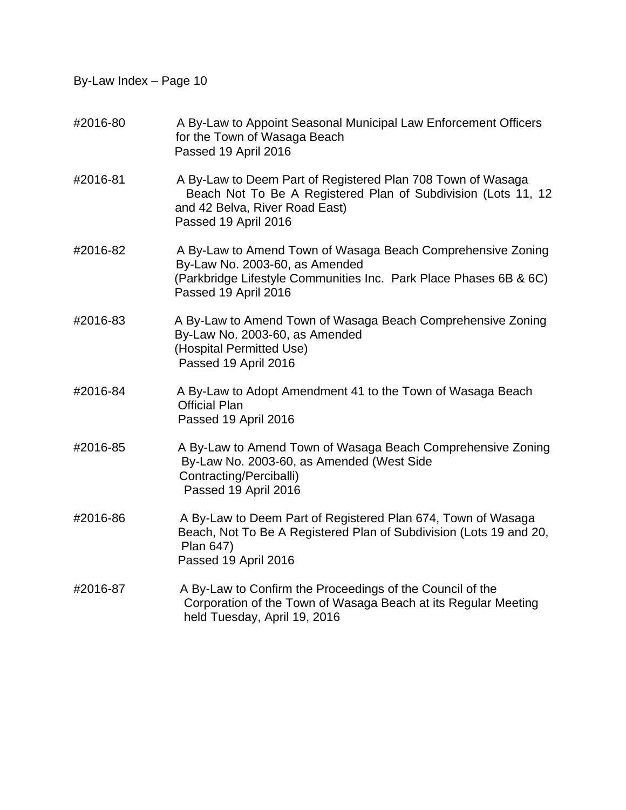- #2016-80 A By-Law to Appoint Seasonal Municipal Law Enforcement Officers for the Town of Wasaga Beach Passed 19 April 2016
- #2016-81 A By-Law to Deem Part of Registered Plan 708 Town of Wasaga Beach Not To Be A Registered Plan of Subdivision (Lots 11, 12 and 42 Belva, River Road East) Passed 19 April 2016
- #2016-82 A By-Law to Amend Town of Wasaga Beach Comprehensive Zoning By-Law No. 2003-60, as Amended (Parkbridge Lifestyle Communities Inc. Park Place Phases 6B & 6C) Passed 19 April 2016
- #2016-83 A By-Law to Amend Town of Wasaga Beach Comprehensive Zoning By-Law No. 2003-60, as Amended (Hospital Permitted Use) Passed 19 April 2016
- #2016-84 A By-Law to Adopt Amendment 41 to the Town of Wasaga Beach Official Plan Passed 19 April 2016
- #2016-85 A By-Law to Amend Town of Wasaga Beach Comprehensive Zoning By-Law No. 2003-60, as Amended (West Side Contracting/Perciballi) Passed 19 April 2016
- #2016-86 A By-Law to Deem Part of Registered Plan 674, Town of Wasaga Beach, Not To Be A Registered Plan of Subdivision (Lots 19 and 20, Plan 647) Passed 19 April 2016
- #2016-87 A By-Law to Confirm the Proceedings of the Council of the Corporation of the Town of Wasaga Beach at its Regular Meeting held Tuesday, April 19, 2016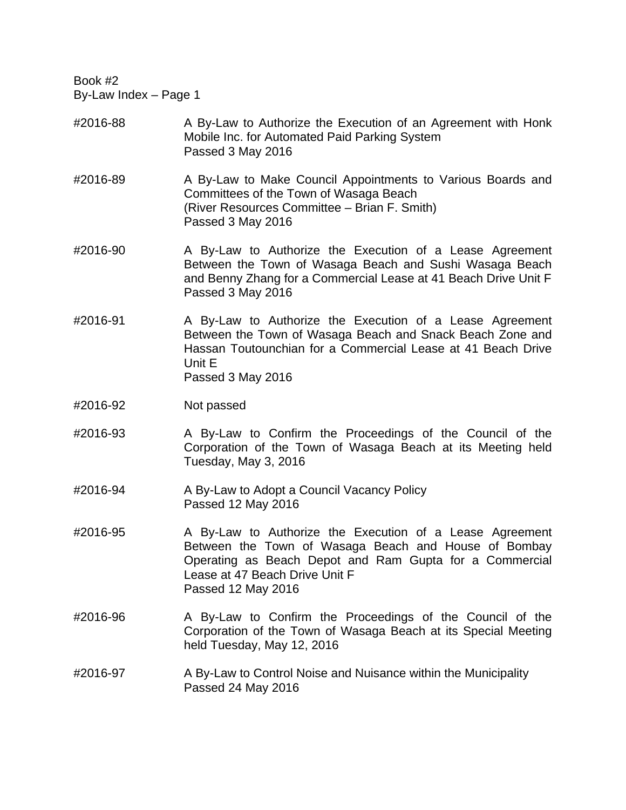## #2016-88 A By-Law to Authorize the Execution of an Agreement with Honk Mobile Inc. for Automated Paid Parking System Passed 3 May 2016

- #2016-89 A By-Law to Make Council Appointments to Various Boards and Committees of the Town of Wasaga Beach (River Resources Committee – Brian F. Smith) Passed 3 May 2016
- #2016-90 A By-Law to Authorize the Execution of a Lease Agreement Between the Town of Wasaga Beach and Sushi Wasaga Beach and Benny Zhang for a Commercial Lease at 41 Beach Drive Unit F Passed 3 May 2016
- #2016-91 A By-Law to Authorize the Execution of a Lease Agreement Between the Town of Wasaga Beach and Snack Beach Zone and Hassan Toutounchian for a Commercial Lease at 41 Beach Drive Unit E Passed 3 May 2016
- #2016-92 Not passed
- #2016-93 A By-Law to Confirm the Proceedings of the Council of the Corporation of the Town of Wasaga Beach at its Meeting held Tuesday, May 3, 2016
- #2016-94 A By-Law to Adopt a Council Vacancy Policy Passed 12 May 2016
- #2016-95 A By-Law to Authorize the Execution of a Lease Agreement Between the Town of Wasaga Beach and House of Bombay Operating as Beach Depot and Ram Gupta for a Commercial Lease at 47 Beach Drive Unit F Passed 12 May 2016
- #2016-96 A By-Law to Confirm the Proceedings of the Council of the Corporation of the Town of Wasaga Beach at its Special Meeting held Tuesday, May 12, 2016
- #2016-97 A By-Law to Control Noise and Nuisance within the Municipality Passed 24 May 2016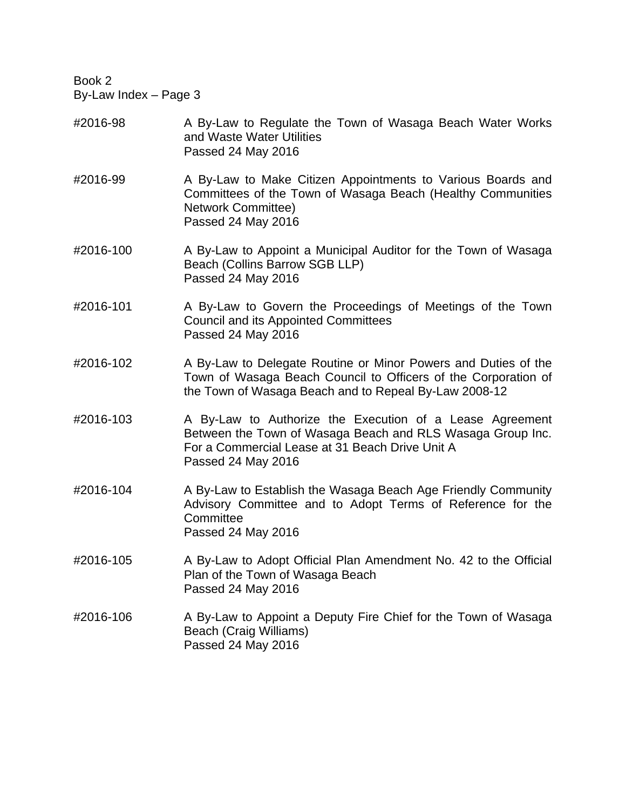- #2016-98 A By-Law to Regulate the Town of Wasaga Beach Water Works and Waste Water Utilities Passed 24 May 2016
- #2016-99 A By-Law to Make Citizen Appointments to Various Boards and Committees of the Town of Wasaga Beach (Healthy Communities Network Committee) Passed 24 May 2016
- #2016-100 A By-Law to Appoint a Municipal Auditor for the Town of Wasaga Beach (Collins Barrow SGB LLP) Passed 24 May 2016
- #2016-101 A By-Law to Govern the Proceedings of Meetings of the Town Council and its Appointed Committees Passed 24 May 2016
- #2016-102 A By-Law to Delegate Routine or Minor Powers and Duties of the Town of Wasaga Beach Council to Officers of the Corporation of the Town of Wasaga Beach and to Repeal By-Law 2008-12
- #2016-103 A By-Law to Authorize the Execution of a Lease Agreement Between the Town of Wasaga Beach and RLS Wasaga Group Inc. For a Commercial Lease at 31 Beach Drive Unit A Passed 24 May 2016
- #2016-104 A By-Law to Establish the Wasaga Beach Age Friendly Community Advisory Committee and to Adopt Terms of Reference for the **Committee** Passed 24 May 2016
- #2016-105 A By-Law to Adopt Official Plan Amendment No. 42 to the Official Plan of the Town of Wasaga Beach Passed 24 May 2016
- #2016-106 A By-Law to Appoint a Deputy Fire Chief for the Town of Wasaga Beach (Craig Williams) Passed 24 May 2016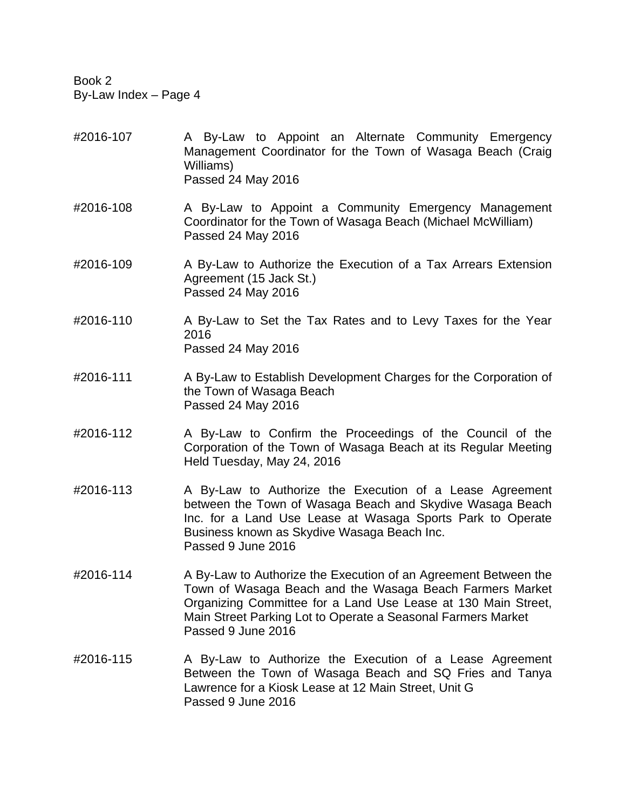- #2016-107 A By-Law to Appoint an Alternate Community Emergency Management Coordinator for the Town of Wasaga Beach (Craig Williams) Passed 24 May 2016
- #2016-108 A By-Law to Appoint a Community Emergency Management Coordinator for the Town of Wasaga Beach (Michael McWilliam) Passed 24 May 2016
- #2016-109 A By-Law to Authorize the Execution of a Tax Arrears Extension Agreement (15 Jack St.) Passed 24 May 2016
- #2016-110 A By-Law to Set the Tax Rates and to Levy Taxes for the Year 2016 Passed 24 May 2016
- #2016-111 A By-Law to Establish Development Charges for the Corporation of the Town of Wasaga Beach Passed 24 May 2016
- #2016-112 A By-Law to Confirm the Proceedings of the Council of the Corporation of the Town of Wasaga Beach at its Regular Meeting Held Tuesday, May 24, 2016
- #2016-113 A By-Law to Authorize the Execution of a Lease Agreement between the Town of Wasaga Beach and Skydive Wasaga Beach Inc. for a Land Use Lease at Wasaga Sports Park to Operate Business known as Skydive Wasaga Beach Inc. Passed 9 June 2016
- #2016-114 A By-Law to Authorize the Execution of an Agreement Between the Town of Wasaga Beach and the Wasaga Beach Farmers Market Organizing Committee for a Land Use Lease at 130 Main Street, Main Street Parking Lot to Operate a Seasonal Farmers Market Passed 9 June 2016
- #2016-115 A By-Law to Authorize the Execution of a Lease Agreement Between the Town of Wasaga Beach and SQ Fries and Tanya Lawrence for a Kiosk Lease at 12 Main Street, Unit G Passed 9 June 2016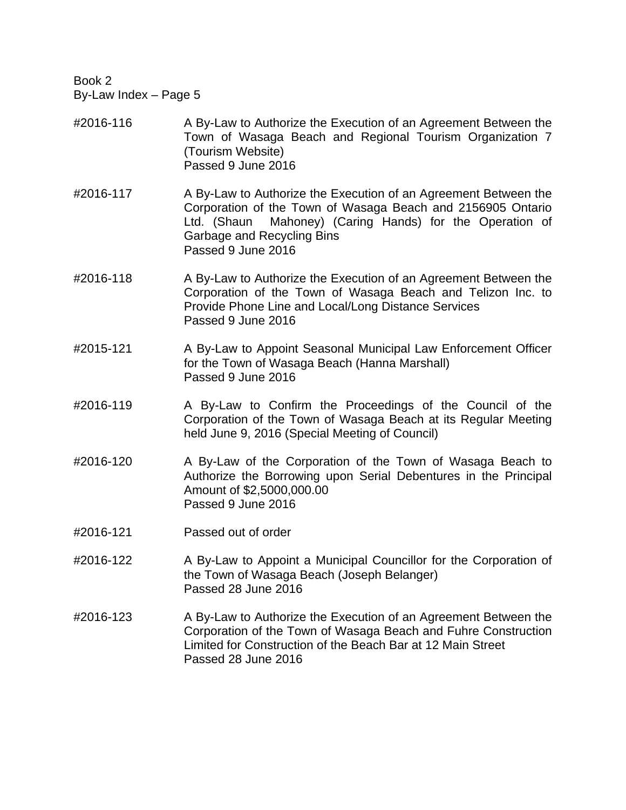- #2016-116 A By-Law to Authorize the Execution of an Agreement Between the Town of Wasaga Beach and Regional Tourism Organization 7 (Tourism Website) Passed 9 June 2016
- #2016-117 A By-Law to Authorize the Execution of an Agreement Between the Corporation of the Town of Wasaga Beach and 2156905 Ontario Ltd. (Shaun Mahoney) (Caring Hands) for the Operation of Garbage and Recycling Bins Passed 9 June 2016
- #2016-118 A By-Law to Authorize the Execution of an Agreement Between the Corporation of the Town of Wasaga Beach and Telizon Inc. to Provide Phone Line and Local/Long Distance Services Passed 9 June 2016
- #2015-121 A By-Law to Appoint Seasonal Municipal Law Enforcement Officer for the Town of Wasaga Beach (Hanna Marshall) Passed 9 June 2016
- #2016-119 A By-Law to Confirm the Proceedings of the Council of the Corporation of the Town of Wasaga Beach at its Regular Meeting held June 9, 2016 (Special Meeting of Council)
- #2016-120 A By-Law of the Corporation of the Town of Wasaga Beach to Authorize the Borrowing upon Serial Debentures in the Principal Amount of \$2,5000,000.00 Passed 9 June 2016
- #2016-121 Passed out of order
- #2016-122 A By-Law to Appoint a Municipal Councillor for the Corporation of the Town of Wasaga Beach (Joseph Belanger) Passed 28 June 2016
- #2016-123 A By-Law to Authorize the Execution of an Agreement Between the Corporation of the Town of Wasaga Beach and Fuhre Construction Limited for Construction of the Beach Bar at 12 Main Street Passed 28 June 2016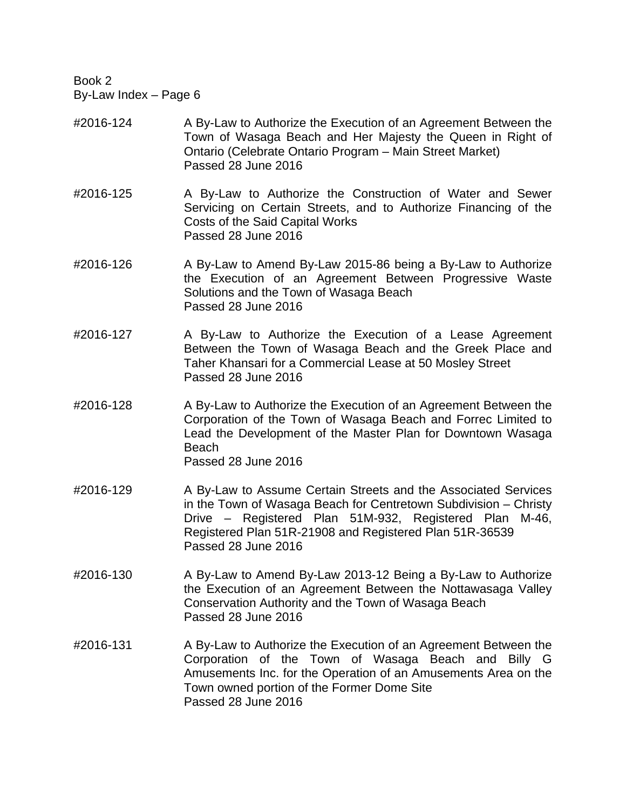- #2016-124 A By-Law to Authorize the Execution of an Agreement Between the Town of Wasaga Beach and Her Majesty the Queen in Right of Ontario (Celebrate Ontario Program – Main Street Market) Passed 28 June 2016
- #2016-125 A By-Law to Authorize the Construction of Water and Sewer Servicing on Certain Streets, and to Authorize Financing of the Costs of the Said Capital Works Passed 28 June 2016
- #2016-126 A By-Law to Amend By-Law 2015-86 being a By-Law to Authorize the Execution of an Agreement Between Progressive Waste Solutions and the Town of Wasaga Beach Passed 28 June 2016
- #2016-127 A By-Law to Authorize the Execution of a Lease Agreement Between the Town of Wasaga Beach and the Greek Place and Taher Khansari for a Commercial Lease at 50 Mosley Street Passed 28 June 2016
- #2016-128 A By-Law to Authorize the Execution of an Agreement Between the Corporation of the Town of Wasaga Beach and Forrec Limited to Lead the Development of the Master Plan for Downtown Wasaga Beach Passed 28 June 2016
- #2016-129 A By-Law to Assume Certain Streets and the Associated Services in the Town of Wasaga Beach for Centretown Subdivision – Christy Drive – Registered Plan 51M-932, Registered Plan M-46, Registered Plan 51R-21908 and Registered Plan 51R-36539 Passed 28 June 2016
- #2016-130 A By-Law to Amend By-Law 2013-12 Being a By-Law to Authorize the Execution of an Agreement Between the Nottawasaga Valley Conservation Authority and the Town of Wasaga Beach Passed 28 June 2016
- #2016-131 A By-Law to Authorize the Execution of an Agreement Between the Corporation of the Town of Wasaga Beach and Billy G Amusements Inc. for the Operation of an Amusements Area on the Town owned portion of the Former Dome Site Passed 28 June 2016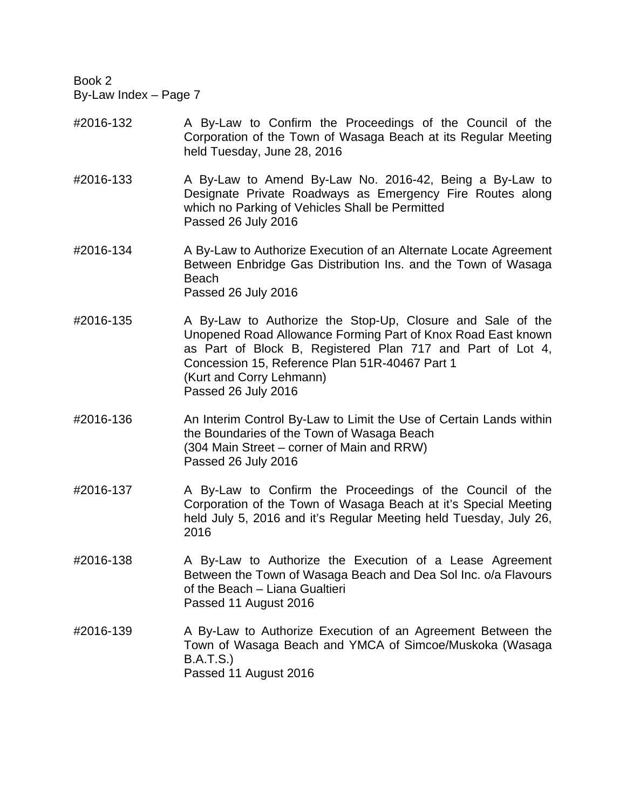- #2016-132 A By-Law to Confirm the Proceedings of the Council of the Corporation of the Town of Wasaga Beach at its Regular Meeting held Tuesday, June 28, 2016
- #2016-133 A By-Law to Amend By-Law No. 2016-42, Being a By-Law to Designate Private Roadways as Emergency Fire Routes along which no Parking of Vehicles Shall be Permitted Passed 26 July 2016
- #2016-134 A By-Law to Authorize Execution of an Alternate Locate Agreement Between Enbridge Gas Distribution Ins. and the Town of Wasaga Beach Passed 26 July 2016
- #2016-135 A By-Law to Authorize the Stop-Up, Closure and Sale of the Unopened Road Allowance Forming Part of Knox Road East known as Part of Block B, Registered Plan 717 and Part of Lot 4, Concession 15, Reference Plan 51R-40467 Part 1 (Kurt and Corry Lehmann) Passed 26 July 2016
- #2016-136 An Interim Control By-Law to Limit the Use of Certain Lands within the Boundaries of the Town of Wasaga Beach (304 Main Street – corner of Main and RRW) Passed 26 July 2016
- #2016-137 A By-Law to Confirm the Proceedings of the Council of the Corporation of the Town of Wasaga Beach at it's Special Meeting held July 5, 2016 and it's Regular Meeting held Tuesday, July 26, 2016
- #2016-138 A By-Law to Authorize the Execution of a Lease Agreement Between the Town of Wasaga Beach and Dea Sol Inc. o/a Flavours of the Beach – Liana Gualtieri Passed 11 August 2016
- #2016-139 A By-Law to Authorize Execution of an Agreement Between the Town of Wasaga Beach and YMCA of Simcoe/Muskoka (Wasaga B.A.T.S.) Passed 11 August 2016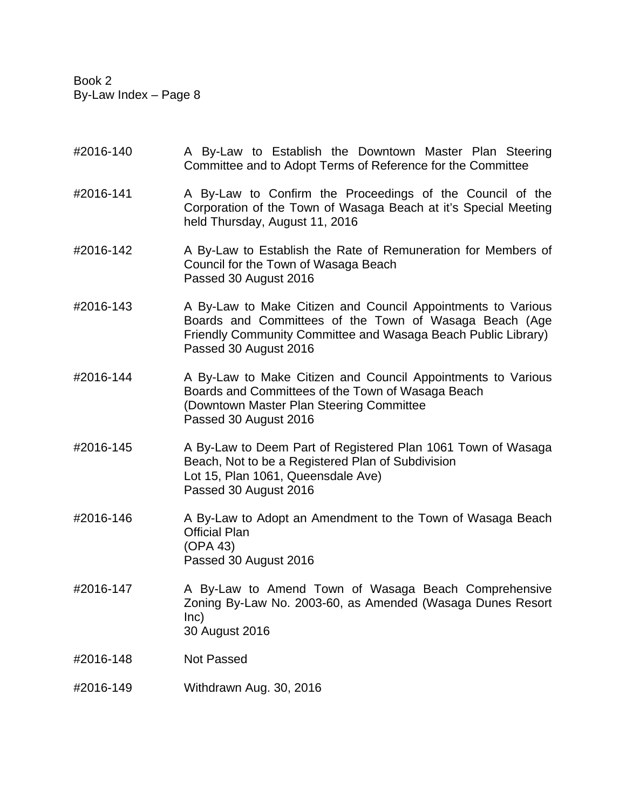- #2016-140 A By-Law to Establish the Downtown Master Plan Steering Committee and to Adopt Terms of Reference for the Committee
- #2016-141 A By-Law to Confirm the Proceedings of the Council of the Corporation of the Town of Wasaga Beach at it's Special Meeting held Thursday, August 11, 2016
- #2016-142 A By-Law to Establish the Rate of Remuneration for Members of Council for the Town of Wasaga Beach Passed 30 August 2016
- #2016-143 A By-Law to Make Citizen and Council Appointments to Various Boards and Committees of the Town of Wasaga Beach (Age Friendly Community Committee and Wasaga Beach Public Library) Passed 30 August 2016
- #2016-144 A By-Law to Make Citizen and Council Appointments to Various Boards and Committees of the Town of Wasaga Beach (Downtown Master Plan Steering Committee Passed 30 August 2016
- #2016-145 A By-Law to Deem Part of Registered Plan 1061 Town of Wasaga Beach, Not to be a Registered Plan of Subdivision Lot 15, Plan 1061, Queensdale Ave) Passed 30 August 2016
- #2016-146 A By-Law to Adopt an Amendment to the Town of Wasaga Beach Official Plan (OPA 43) Passed 30 August 2016
- #2016-147 A By-Law to Amend Town of Wasaga Beach Comprehensive Zoning By-Law No. 2003-60, as Amended (Wasaga Dunes Resort Inc) 30 August 2016

#2016-148 Not Passed

#2016-149 Withdrawn Aug. 30, 2016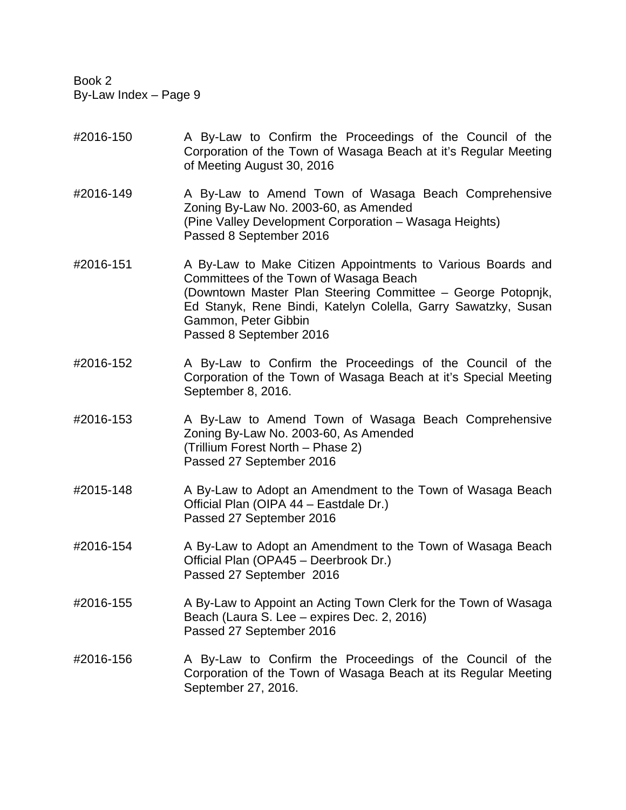- #2016-150 A By-Law to Confirm the Proceedings of the Council of the Corporation of the Town of Wasaga Beach at it's Regular Meeting of Meeting August 30, 2016
- #2016-149 A By-Law to Amend Town of Wasaga Beach Comprehensive Zoning By-Law No. 2003-60, as Amended (Pine Valley Development Corporation – Wasaga Heights) Passed 8 September 2016
- #2016-151 A By-Law to Make Citizen Appointments to Various Boards and Committees of the Town of Wasaga Beach (Downtown Master Plan Steering Committee – George Potopnjk, Ed Stanyk, Rene Bindi, Katelyn Colella, Garry Sawatzky, Susan Gammon, Peter Gibbin Passed 8 September 2016
- #2016-152 A By-Law to Confirm the Proceedings of the Council of the Corporation of the Town of Wasaga Beach at it's Special Meeting September 8, 2016.
- #2016-153 A By-Law to Amend Town of Wasaga Beach Comprehensive Zoning By-Law No. 2003-60, As Amended (Trillium Forest North – Phase 2) Passed 27 September 2016
- #2015-148 A By-Law to Adopt an Amendment to the Town of Wasaga Beach Official Plan (OIPA 44 – Eastdale Dr.) Passed 27 September 2016
- #2016-154 A By-Law to Adopt an Amendment to the Town of Wasaga Beach Official Plan (OPA45 – Deerbrook Dr.) Passed 27 September 2016
- #2016-155 A By-Law to Appoint an Acting Town Clerk for the Town of Wasaga Beach (Laura S. Lee – expires Dec. 2, 2016) Passed 27 September 2016
- #2016-156 A By-Law to Confirm the Proceedings of the Council of the Corporation of the Town of Wasaga Beach at its Regular Meeting September 27, 2016.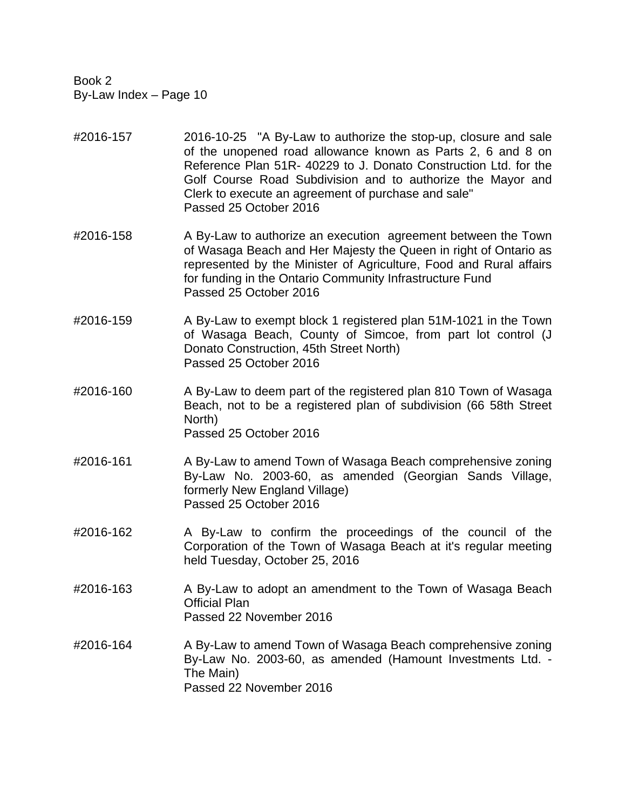- #2016-157 2016-10-25 "A By-Law to authorize the stop-up, closure and sale of the unopened road allowance known as Parts 2, 6 and 8 on Reference Plan 51R- 40229 to J. Donato Construction Ltd. for the Golf Course Road Subdivision and to authorize the Mayor and Clerk to execute an agreement of purchase and sale" Passed 25 October 2016
- #2016-158 A By-Law to authorize an execution agreement between the Town of Wasaga Beach and Her Majesty the Queen in right of Ontario as represented by the Minister of Agriculture, Food and Rural affairs for funding in the Ontario Community Infrastructure Fund Passed 25 October 2016
- #2016-159 A By-Law to exempt block 1 registered plan 51M-1021 in the Town of Wasaga Beach, County of Simcoe, from part lot control (J Donato Construction, 45th Street North) Passed 25 October 2016
- #2016-160 A By-Law to deem part of the registered plan 810 Town of Wasaga Beach, not to be a registered plan of subdivision (66 58th Street North) Passed 25 October 2016
- #2016-161 A By-Law to amend Town of Wasaga Beach comprehensive zoning By-Law No. 2003-60, as amended (Georgian Sands Village, formerly New England Village) Passed 25 October 2016
- #2016-162 A By-Law to confirm the proceedings of the council of the Corporation of the Town of Wasaga Beach at it's regular meeting held Tuesday, October 25, 2016
- #2016-163 A By-Law to adopt an amendment to the Town of Wasaga Beach Official Plan Passed 22 November 2016
- #2016-164 A By-Law to amend Town of Wasaga Beach comprehensive zoning By-Law No. 2003-60, as amended (Hamount Investments Ltd. - The Main) Passed 22 November 2016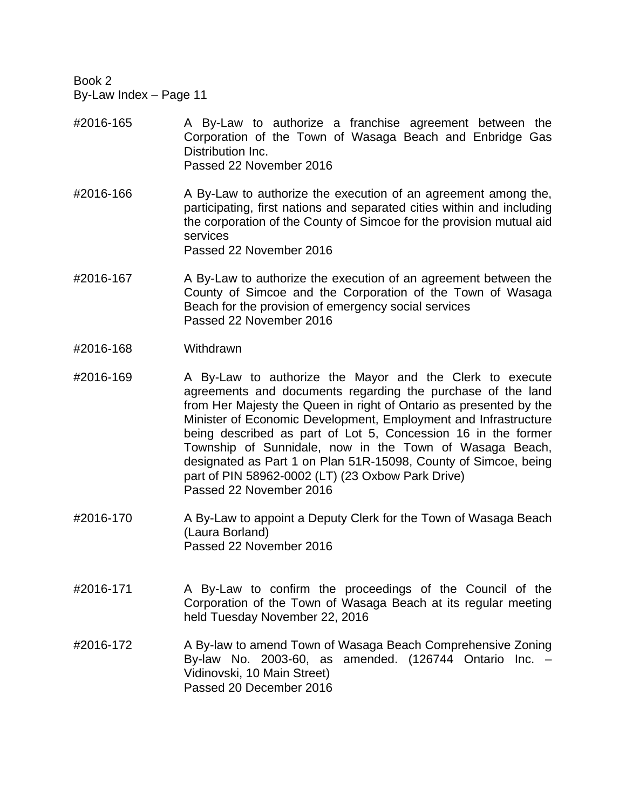- #2016-165 A By-Law to authorize a franchise agreement between the Corporation of the Town of Wasaga Beach and Enbridge Gas Distribution Inc. Passed 22 November 2016
- #2016-166 A By-Law to authorize the execution of an agreement among the, participating, first nations and separated cities within and including the corporation of the County of Simcoe for the provision mutual aid services Passed 22 November 2016
- #2016-167 A By-Law to authorize the execution of an agreement between the County of Simcoe and the Corporation of the Town of Wasaga Beach for the provision of emergency social services Passed 22 November 2016
- #2016-168 Withdrawn
- #2016-169 A By-Law to authorize the Mayor and the Clerk to execute agreements and documents regarding the purchase of the land from Her Majesty the Queen in right of Ontario as presented by the Minister of Economic Development, Employment and Infrastructure being described as part of Lot 5, Concession 16 in the former Township of Sunnidale, now in the Town of Wasaga Beach, designated as Part 1 on Plan 51R-15098, County of Simcoe, being part of PIN 58962-0002 (LT) (23 Oxbow Park Drive) Passed 22 November 2016
- #2016-170 A By-Law to appoint a Deputy Clerk for the Town of Wasaga Beach (Laura Borland) Passed 22 November 2016
- #2016-171 A By-Law to confirm the proceedings of the Council of the Corporation of the Town of Wasaga Beach at its regular meeting held Tuesday November 22, 2016
- #2016-172 A By-law to amend Town of Wasaga Beach Comprehensive Zoning By-law No. 2003-60, as amended. (126744 Ontario Inc. – Vidinovski, 10 Main Street) Passed 20 December 2016